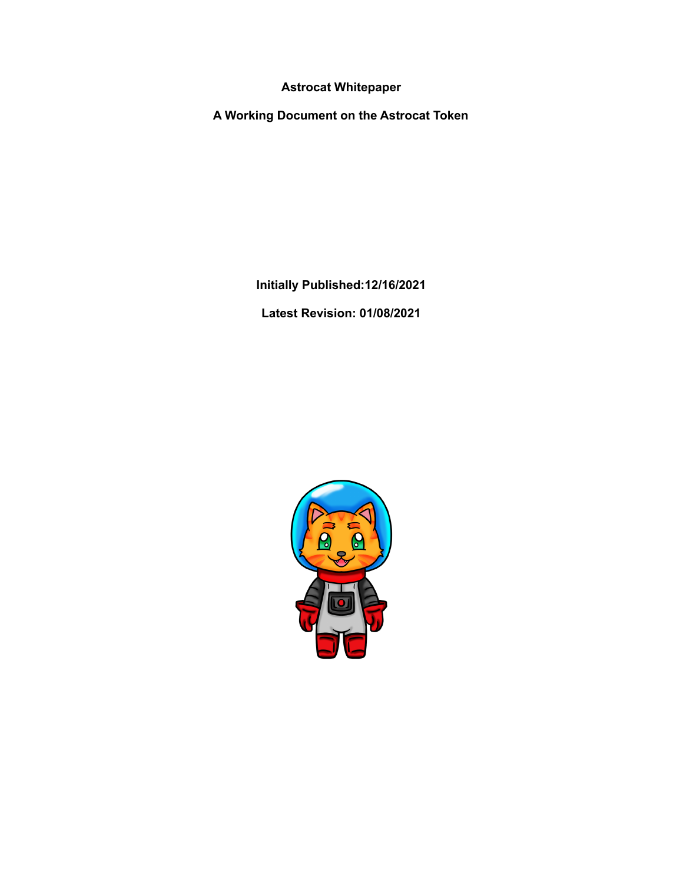**Astrocat Whitepaper**

**A Working Document on the Astrocat Token**

**Initially Published:12/16/2021**

**Latest Revision: 01/08/2021**

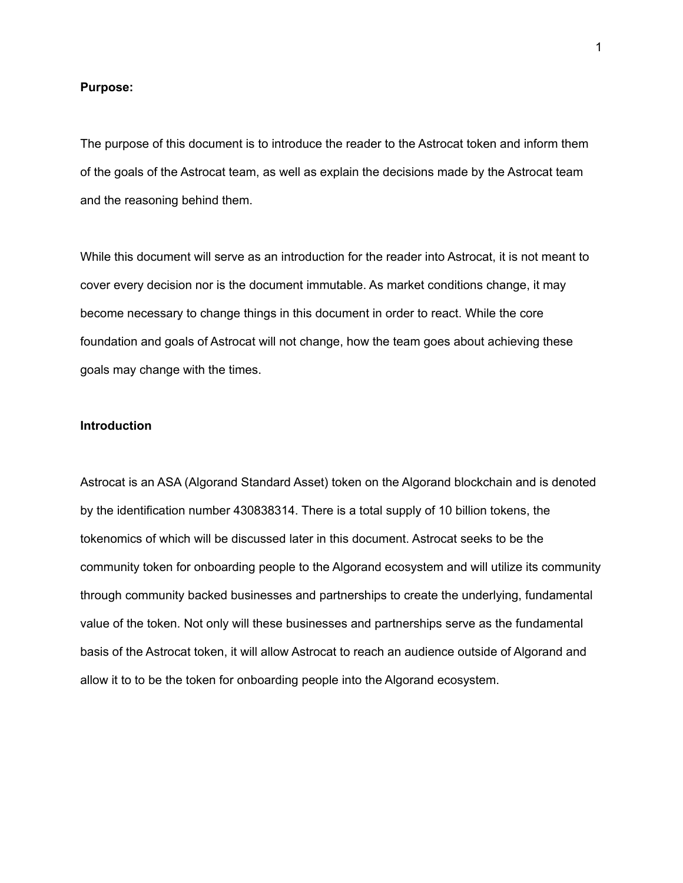#### **Purpose:**

The purpose of this document is to introduce the reader to the Astrocat token and inform them of the goals of the Astrocat team, as well as explain the decisions made by the Astrocat team and the reasoning behind them.

While this document will serve as an introduction for the reader into Astrocat, it is not meant to cover every decision nor is the document immutable. As market conditions change, it may become necessary to change things in this document in order to react. While the core foundation and goals of Astrocat will not change, how the team goes about achieving these goals may change with the times.

## **Introduction**

Astrocat is an ASA (Algorand Standard Asset) token on the Algorand blockchain and is denoted by the identification number 430838314. There is a total supply of 10 billion tokens, the tokenomics of which will be discussed later in this document. Astrocat seeks to be the community token for onboarding people to the Algorand ecosystem and will utilize its community through community backed businesses and partnerships to create the underlying, fundamental value of the token. Not only will these businesses and partnerships serve as the fundamental basis of the Astrocat token, it will allow Astrocat to reach an audience outside of Algorand and allow it to to be the token for onboarding people into the Algorand ecosystem.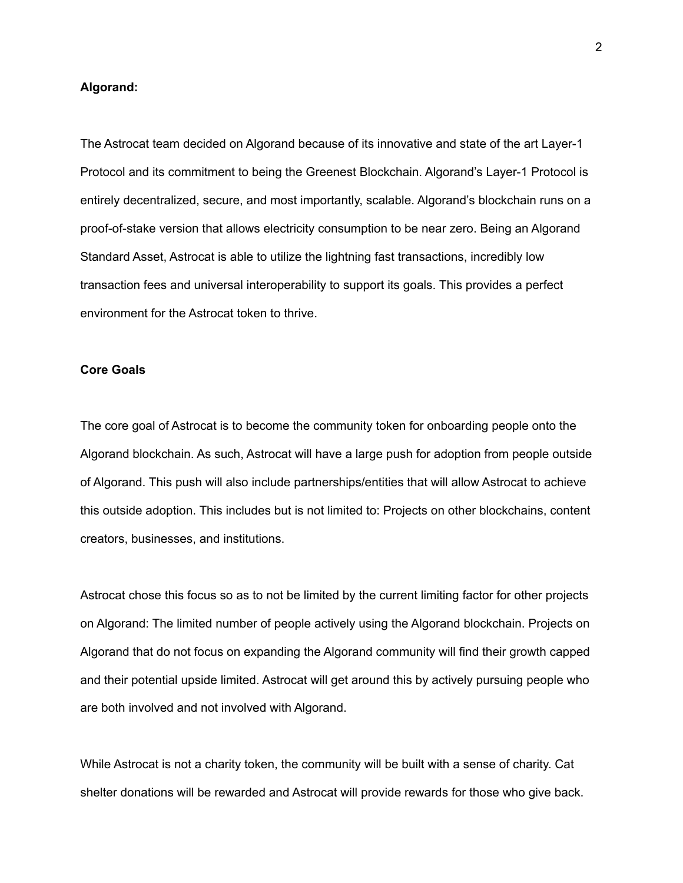#### **Algorand:**

The Astrocat team decided on Algorand because of its innovative and state of the art Layer-1 Protocol and its commitment to being the Greenest Blockchain. Algorand's Layer-1 Protocol is entirely decentralized, secure, and most importantly, scalable. Algorand's blockchain runs on a proof-of-stake version that allows electricity consumption to be near zero. Being an Algorand Standard Asset, Astrocat is able to utilize the lightning fast transactions, incredibly low transaction fees and universal interoperability to support its goals. This provides a perfect environment for the Astrocat token to thrive.

### **Core Goals**

The core goal of Astrocat is to become the community token for onboarding people onto the Algorand blockchain. As such, Astrocat will have a large push for adoption from people outside of Algorand. This push will also include partnerships/entities that will allow Astrocat to achieve this outside adoption. This includes but is not limited to: Projects on other blockchains, content creators, businesses, and institutions.

Astrocat chose this focus so as to not be limited by the current limiting factor for other projects on Algorand: The limited number of people actively using the Algorand blockchain. Projects on Algorand that do not focus on expanding the Algorand community will find their growth capped and their potential upside limited. Astrocat will get around this by actively pursuing people who are both involved and not involved with Algorand.

While Astrocat is not a charity token, the community will be built with a sense of charity. Cat shelter donations will be rewarded and Astrocat will provide rewards for those who give back.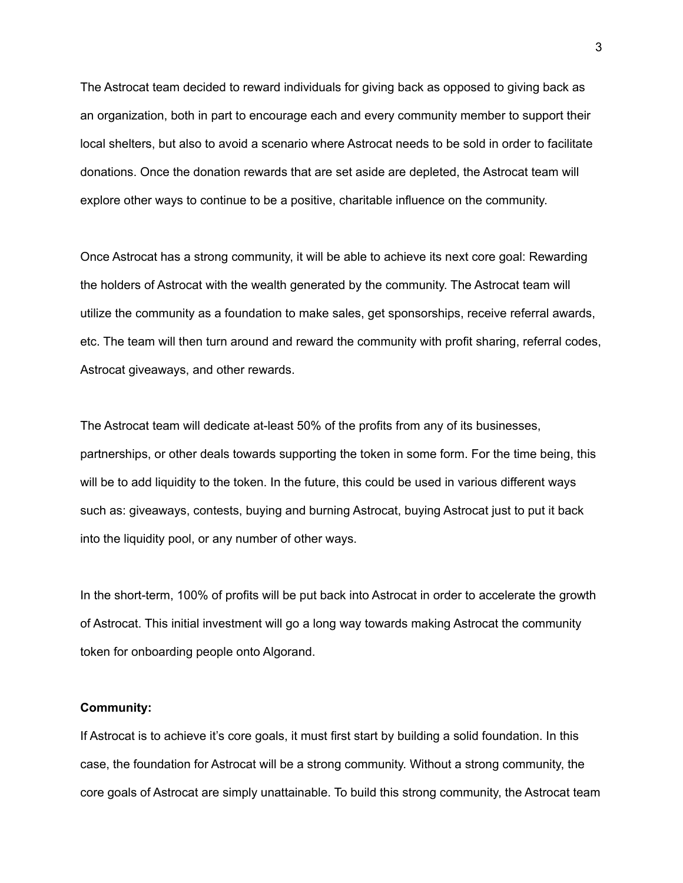The Astrocat team decided to reward individuals for giving back as opposed to giving back as an organization, both in part to encourage each and every community member to support their local shelters, but also to avoid a scenario where Astrocat needs to be sold in order to facilitate donations. Once the donation rewards that are set aside are depleted, the Astrocat team will explore other ways to continue to be a positive, charitable influence on the community.

Once Astrocat has a strong community, it will be able to achieve its next core goal: Rewarding the holders of Astrocat with the wealth generated by the community. The Astrocat team will utilize the community as a foundation to make sales, get sponsorships, receive referral awards, etc. The team will then turn around and reward the community with profit sharing, referral codes, Astrocat giveaways, and other rewards.

The Astrocat team will dedicate at-least 50% of the profits from any of its businesses, partnerships, or other deals towards supporting the token in some form. For the time being, this will be to add liquidity to the token. In the future, this could be used in various different ways such as: giveaways, contests, buying and burning Astrocat, buying Astrocat just to put it back into the liquidity pool, or any number of other ways.

In the short-term, 100% of profits will be put back into Astrocat in order to accelerate the growth of Astrocat. This initial investment will go a long way towards making Astrocat the community token for onboarding people onto Algorand.

#### **Community:**

If Astrocat is to achieve it's core goals, it must first start by building a solid foundation. In this case, the foundation for Astrocat will be a strong community. Without a strong community, the core goals of Astrocat are simply unattainable. To build this strong community, the Astrocat team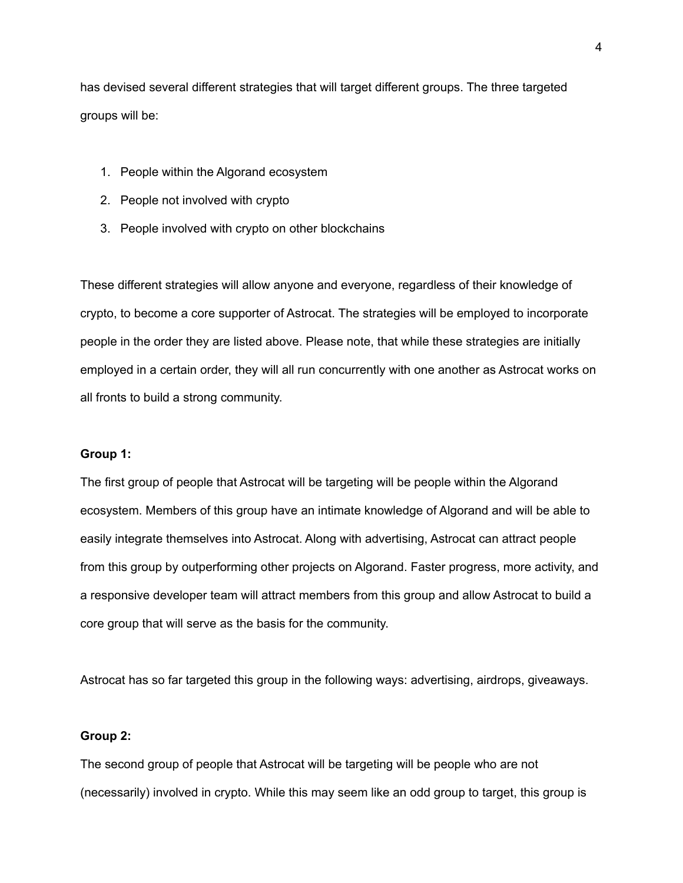has devised several different strategies that will target different groups. The three targeted groups will be:

- 1. People within the Algorand ecosystem
- 2. People not involved with crypto
- 3. People involved with crypto on other blockchains

These different strategies will allow anyone and everyone, regardless of their knowledge of crypto, to become a core supporter of Astrocat. The strategies will be employed to incorporate people in the order they are listed above. Please note, that while these strategies are initially employed in a certain order, they will all run concurrently with one another as Astrocat works on all fronts to build a strong community.

## **Group 1:**

The first group of people that Astrocat will be targeting will be people within the Algorand ecosystem. Members of this group have an intimate knowledge of Algorand and will be able to easily integrate themselves into Astrocat. Along with advertising, Astrocat can attract people from this group by outperforming other projects on Algorand. Faster progress, more activity, and a responsive developer team will attract members from this group and allow Astrocat to build a core group that will serve as the basis for the community.

Astrocat has so far targeted this group in the following ways: advertising, airdrops, giveaways.

# **Group 2:**

The second group of people that Astrocat will be targeting will be people who are not (necessarily) involved in crypto. While this may seem like an odd group to target, this group is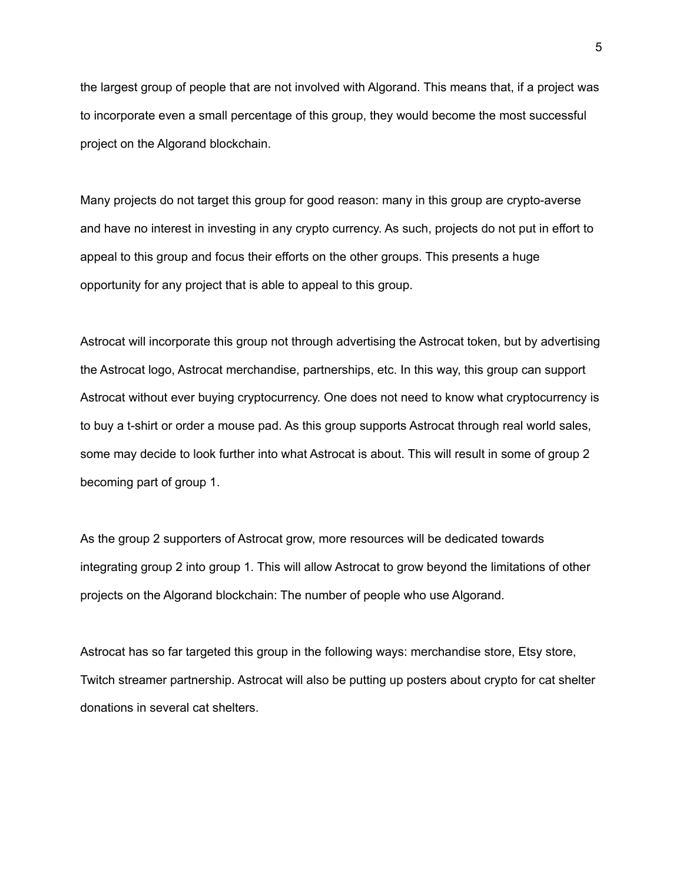the largest group of people that are not involved with Algorand. This means that, if a project was to incorporate even a small percentage of this group, they would become the most successful project on the Algorand blockchain.

Many projects do not target this group for good reason: many in this group are crypto-averse and have no interest in investing in any crypto currency. As such, projects do not put in effort to appeal to this group and focus their efforts on the other groups. This presents a huge opportunity for any project that is able to appeal to this group.

Astrocat will incorporate this group not through advertising the Astrocat token, but by advertising the Astrocat logo, Astrocat merchandise, partnerships, etc. In this way, this group can support Astrocat without ever buying cryptocurrency. One does not need to know what cryptocurrency is to buy a t-shirt or order a mouse pad. As this group supports Astrocat through real world sales, some may decide to look further into what Astrocat is about. This will result in some of group 2 becoming part of group 1.

As the group 2 supporters of Astrocat grow, more resources will be dedicated towards integrating group 2 into group 1. This will allow Astrocat to grow beyond the limitations of other projects on the Algorand blockchain: The number of people who use Algorand.

Astrocat has so far targeted this group in the following ways: merchandise store, Etsy store, Twitch streamer partnership. Astrocat will also be putting up posters about crypto for cat shelter donations in several cat shelters.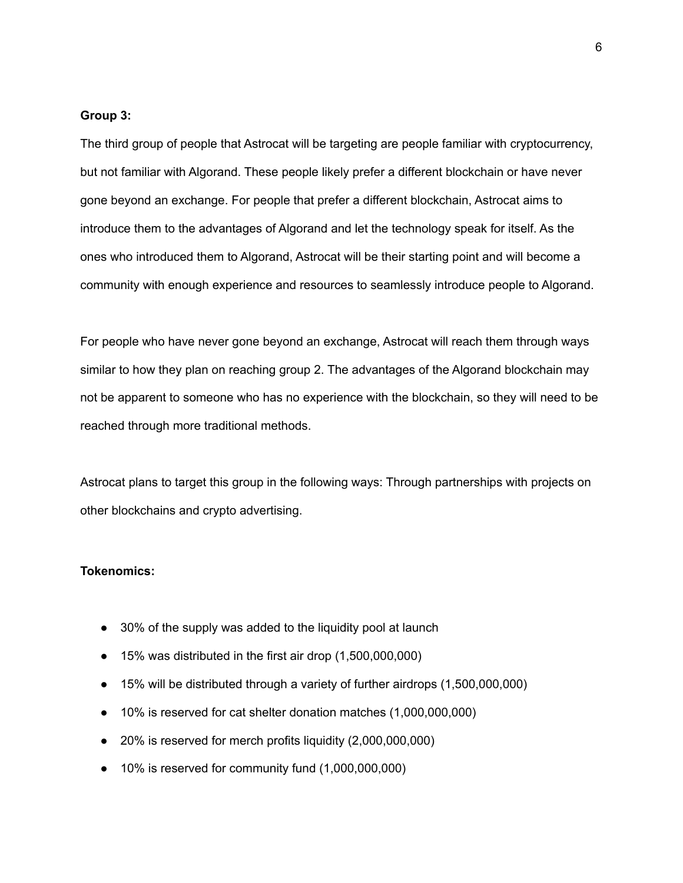#### **Group 3:**

The third group of people that Astrocat will be targeting are people familiar with cryptocurrency, but not familiar with Algorand. These people likely prefer a different blockchain or have never gone beyond an exchange. For people that prefer a different blockchain, Astrocat aims to introduce them to the advantages of Algorand and let the technology speak for itself. As the ones who introduced them to Algorand, Astrocat will be their starting point and will become a community with enough experience and resources to seamlessly introduce people to Algorand.

For people who have never gone beyond an exchange, Astrocat will reach them through ways similar to how they plan on reaching group 2. The advantages of the Algorand blockchain may not be apparent to someone who has no experience with the blockchain, so they will need to be reached through more traditional methods.

Astrocat plans to target this group in the following ways: Through partnerships with projects on other blockchains and crypto advertising.

# **Tokenomics:**

- 30% of the supply was added to the liquidity pool at launch
- 15% was distributed in the first air drop (1,500,000,000)
- 15% will be distributed through a variety of further airdrops (1,500,000,000)
- 10% is reserved for cat shelter donation matches (1,000,000,000)
- 20% is reserved for merch profits liquidity (2,000,000,000)
- 10% is reserved for community fund (1,000,000,000)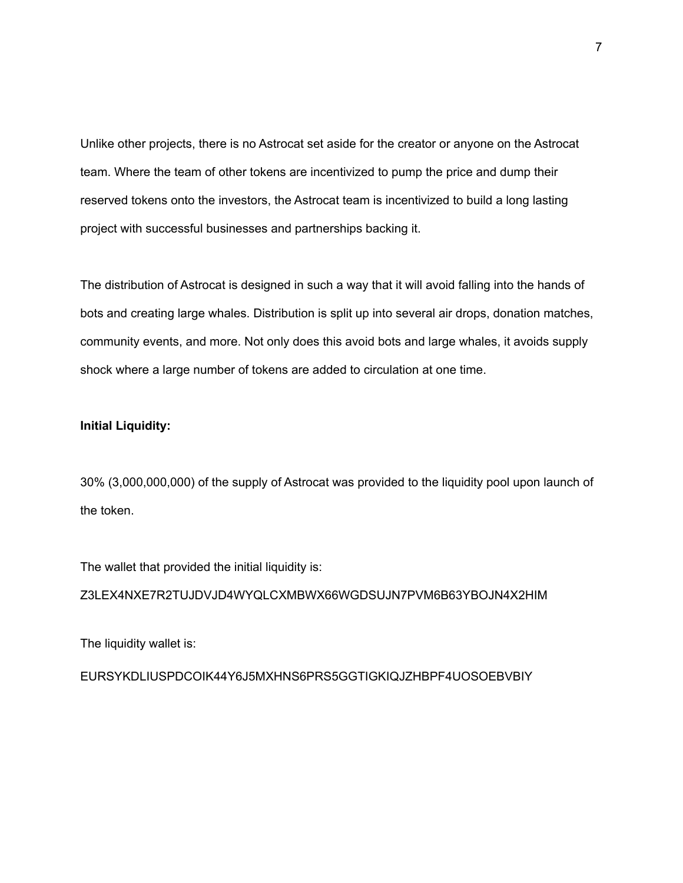Unlike other projects, there is no Astrocat set aside for the creator or anyone on the Astrocat team. Where the team of other tokens are incentivized to pump the price and dump their reserved tokens onto the investors, the Astrocat team is incentivized to build a long lasting project with successful businesses and partnerships backing it.

The distribution of Astrocat is designed in such a way that it will avoid falling into the hands of bots and creating large whales. Distribution is split up into several air drops, donation matches, community events, and more. Not only does this avoid bots and large whales, it avoids supply shock where a large number of tokens are added to circulation at one time.

# **Initial Liquidity:**

30% (3,000,000,000) of the supply of Astrocat was provided to the liquidity pool upon launch of the token.

The wallet that provided the initial liquidity is:

Z3LEX4NXE7R2TUJDVJD4WYQLCXMBWX66WGDSUJN7PVM6B63YBOJN4X2HIM

The liquidity wallet is:

EURSYKDLIUSPDCOIK44Y6J5MXHNS6PRS5GGTIGKIQJZHBPF4UOSOEBVBIY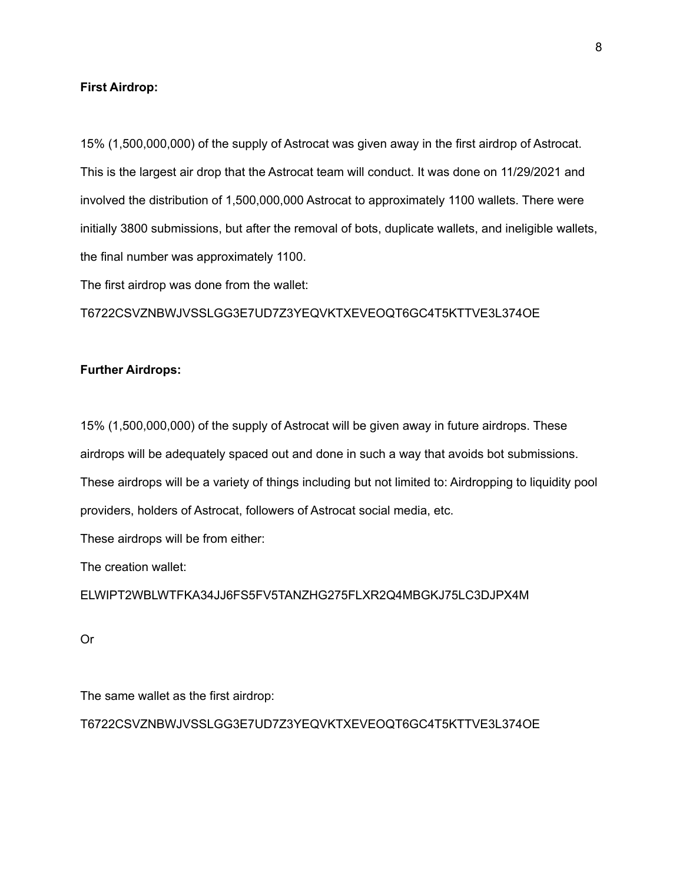## **First Airdrop:**

15% (1,500,000,000) of the supply of Astrocat was given away in the first airdrop of Astrocat. This is the largest air drop that the Astrocat team will conduct. It was done on 11/29/2021 and involved the distribution of 1,500,000,000 Astrocat to approximately 1100 wallets. There were initially 3800 submissions, but after the removal of bots, duplicate wallets, and ineligible wallets, the final number was approximately 1100.

The first airdrop was done from the wallet:

T6722CSVZNBWJVSSLGG3E7UD7Z3YEQVKTXEVEOQT6GC4T5KTTVE3L374OE

## **Further Airdrops:**

15% (1,500,000,000) of the supply of Astrocat will be given away in future airdrops. These airdrops will be adequately spaced out and done in such a way that avoids bot submissions. These airdrops will be a variety of things including but not limited to: Airdropping to liquidity pool providers, holders of Astrocat, followers of Astrocat social media, etc.

These airdrops will be from either:

The creation wallet:

ELWIPT2WBLWTFKA34JJ6FS5FV5TANZHG275FLXR2Q4MBGKJ75LC3DJPX4M

Or

The same wallet as the first airdrop:

T6722CSVZNBWJVSSLGG3E7UD7Z3YEQVKTXEVEOQT6GC4T5KTTVE3L374OE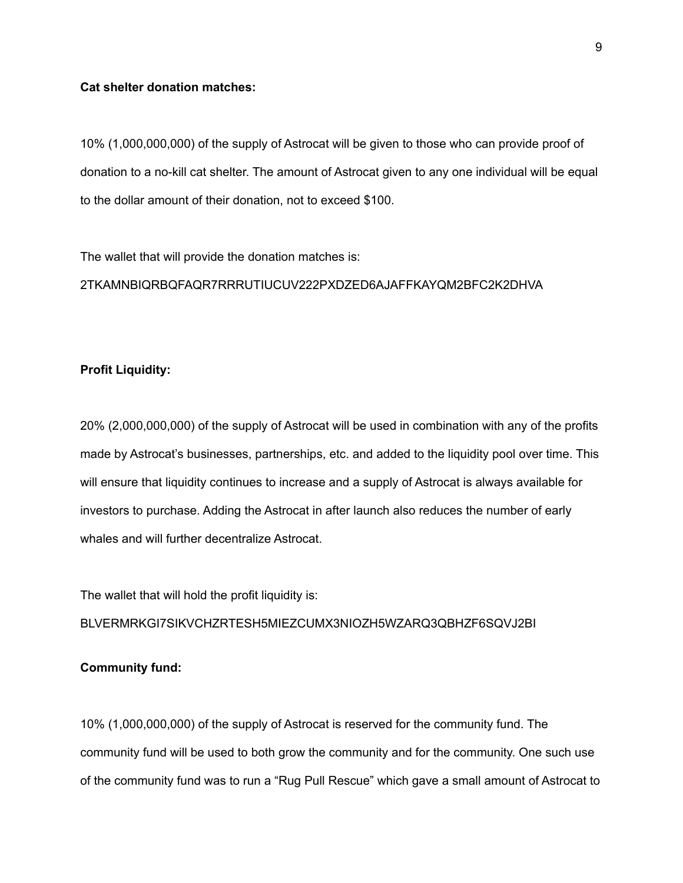# **Cat shelter donation matches:**

10% (1,000,000,000) of the supply of Astrocat will be given to those who can provide proof of donation to a no-kill cat shelter. The amount of Astrocat given to any one individual will be equal to the dollar amount of their donation, not to exceed \$100.

The wallet that will provide the donation matches is:

2TKAMNBIQRBQFAQR7RRRUTIUCUV222PXDZED6AJAFFKAYQM2BFC2K2DHVA

## **Profit Liquidity:**

20% (2,000,000,000) of the supply of Astrocat will be used in combination with any of the profits made by Astrocat's businesses, partnerships, etc. and added to the liquidity pool over time. This will ensure that liquidity continues to increase and a supply of Astrocat is always available for investors to purchase. Adding the Astrocat in after launch also reduces the number of early whales and will further decentralize Astrocat.

The wallet that will hold the profit liquidity is: BLVERMRKGI7SIKVCHZRTESH5MIEZCUMX3NIOZH5WZARQ3QBHZF6SQVJ2BI

### **Community fund:**

10% (1,000,000,000) of the supply of Astrocat is reserved for the community fund. The community fund will be used to both grow the community and for the community. One such use of the community fund was to run a "Rug Pull Rescue" which gave a small amount of Astrocat to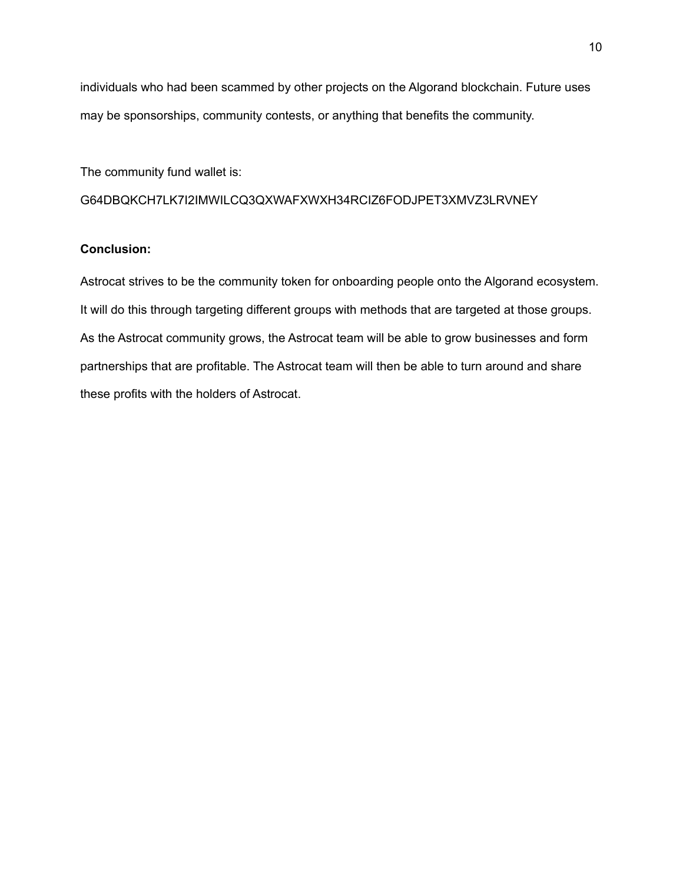individuals who had been scammed by other projects on the Algorand blockchain. Future uses may be sponsorships, community contests, or anything that benefits the community.

The community fund wallet is:

G64DBQKCH7LK7I2IMWILCQ3QXWAFXWXH34RCIZ6FODJPET3XMVZ3LRVNEY

# **Conclusion:**

Astrocat strives to be the community token for onboarding people onto the Algorand ecosystem. It will do this through targeting different groups with methods that are targeted at those groups. As the Astrocat community grows, the Astrocat team will be able to grow businesses and form partnerships that are profitable. The Astrocat team will then be able to turn around and share these profits with the holders of Astrocat.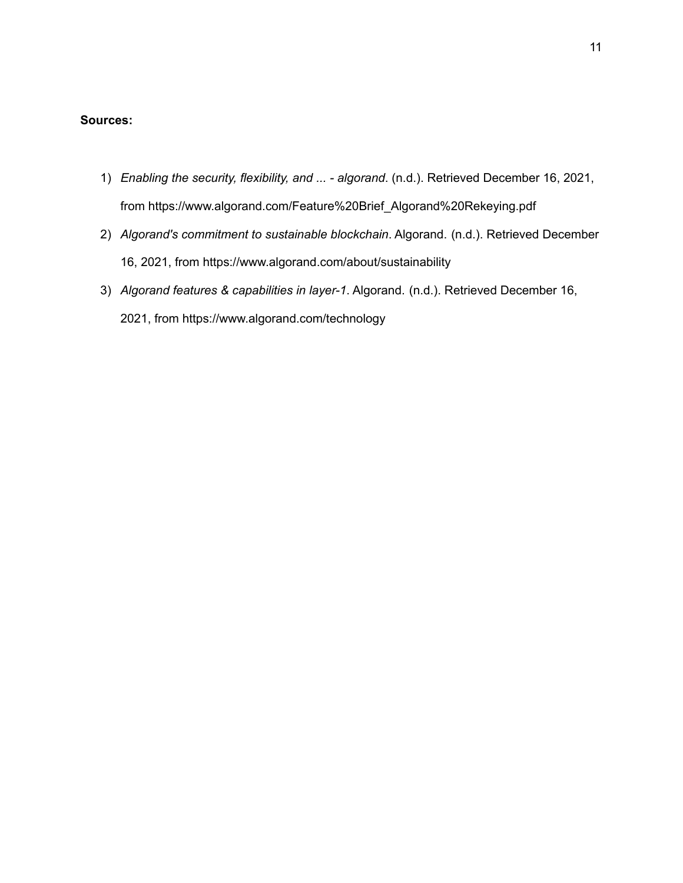## **Sources:**

- 1) *Enabling the security, flexibility, and ... - algorand*. (n.d.). Retrieved December 16, 2021, from https://www.algorand.com/Feature%20Brief\_Algorand%20Rekeying.pdf
- 2) *Algorand's commitment to sustainable blockchain*. Algorand. (n.d.). Retrieved December 16, 2021, from https://www.algorand.com/about/sustainability
- 3) *Algorand features & capabilities in layer-1*. Algorand. (n.d.). Retrieved December 16, 2021, from https://www.algorand.com/technology